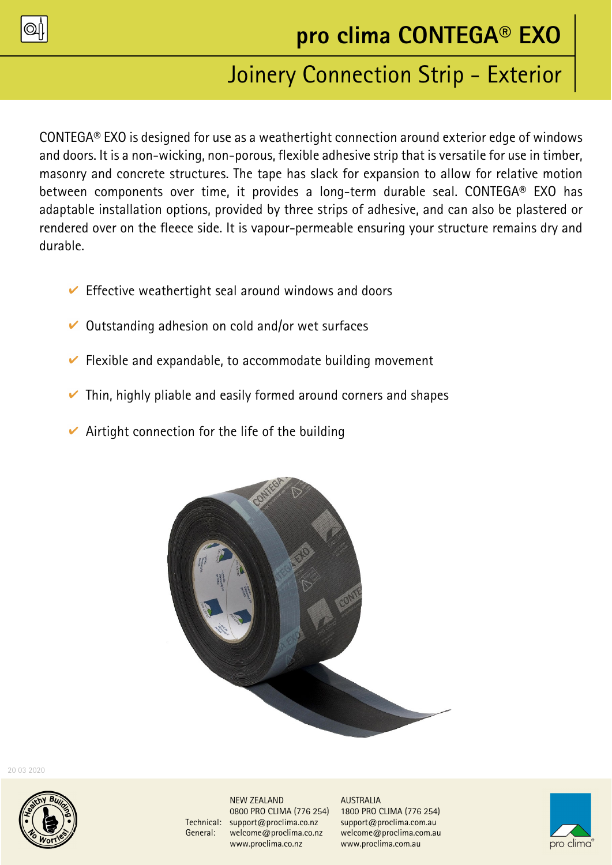

# Joinery Connection Strip - Exterior

CONTEGA® EXO is designed for use as a weathertight connection around exterior edge of windows and doors. It is a non-wicking, non-porous, flexible adhesive strip that is versatile for use in timber, masonry and concrete structures. The tape has slack for expansion to allow for relative motion between components over time, it provides a long-term durable seal. CONTEGA® EXO has adaptable installation options, provided by three strips of adhesive, and can also be plastered or rendered over on the fleece side. It is vapour-permeable ensuring your structure remains dry and durable.

- $\vee$  Effective weathertight seal around windows and doors
- $\vee$  Outstanding adhesion on cold and/or wet surfaces
- $\triangleright$  Flexible and expandable, to accommodate building movement
- $\triangleright$  Thin, highly pliable and easily formed around corners and shapes
- $\vee$  Airtight connection for the life of the building



20 03 2020



NEW ZEALAND AUSTRALIA<br>0800 PRO CLIMA (776 254) 1800 PRO ( Technical: support@proclima.co.nz support@proclima.com.au General: welcome@proclima.co.nz welcome@proclima.com.au www.proclima.co.nz www.proclima.com.au

0800 PRO CLIMA (776 254) 1800 PRO CLIMA (776 254)